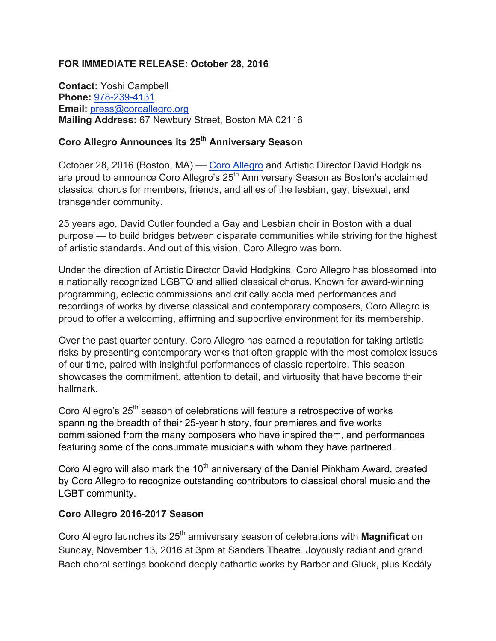### **FOR IMMEDIATE RELEASE: October 28, 2016**

**Contact:** Yoshi Campbell **Phone:** 978-239-4131 **Email:** press@coroallegro.org **Mailing Address:** 67 Newbury Street, Boston MA 02116

# **Coro Allegro Announces its 25th Anniversary Season**

October 28, 2016 (Boston, MA) — Coro Allegro and Artistic Director David Hodgkins are proud to announce Coro Allegro's 25<sup>th</sup> Anniversary Season as Boston's acclaimed classical chorus for members, friends, and allies of the lesbian, gay, bisexual, and transgender community.

25 years ago, David Cutler founded a Gay and Lesbian choir in Boston with a dual purpose — to build bridges between disparate communities while striving for the highest of artistic standards. And out of this vision, Coro Allegro was born.

Under the direction of Artistic Director David Hodgkins, Coro Allegro has blossomed into a nationally recognized LGBTQ and allied classical chorus. Known for award-winning programming, eclectic commissions and critically acclaimed performances and recordings of works by diverse classical and contemporary composers, Coro Allegro is proud to offer a welcoming, affirming and supportive environment for its membership.

Over the past quarter century, Coro Allegro has earned a reputation for taking artistic risks by presenting contemporary works that often grapple with the most complex issues of our time, paired with insightful performances of classic repertoire. This season showcases the commitment, attention to detail, and virtuosity that have become their hallmark.

Coro Allegro's 25<sup>th</sup> season of celebrations will feature a retrospective of works spanning the breadth of their 25-year history, four premieres and five works commissioned from the many composers who have inspired them, and performances featuring some of the consummate musicians with whom they have partnered.

Coro Allegro will also mark the 10<sup>th</sup> anniversary of the Daniel Pinkham Award, created by Coro Allegro to recognize outstanding contributors to classical choral music and the LGBT community.

### **Coro Allegro 2016-2017 Season**

Coro Allegro launches its 25th anniversary season of celebrations with **Magnificat** on Sunday, November 13, 2016 at 3pm at Sanders Theatre. Joyously radiant and grand Bach choral settings bookend deeply cathartic works by Barber and Gluck, plus Kodály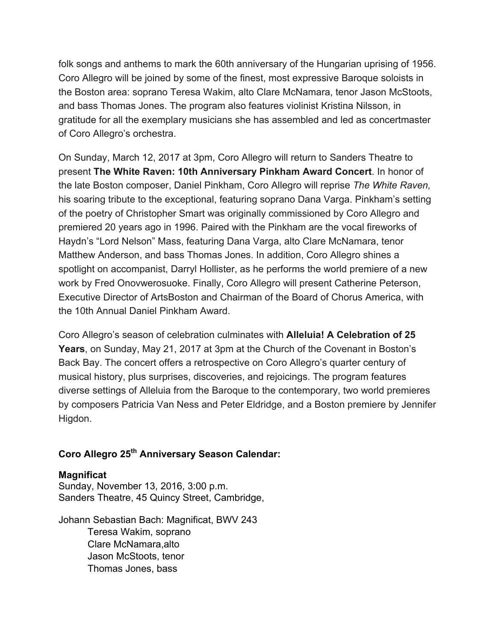folk songs and anthems to mark the 60th anniversary of the Hungarian uprising of 1956. Coro Allegro will be joined by some of the finest, most expressive Baroque soloists in the Boston area: soprano Teresa Wakim, alto Clare McNamara, tenor Jason McStoots, and bass Thomas Jones. The program also features violinist Kristina Nilsson, in gratitude for all the exemplary musicians she has assembled and led as concertmaster of Coro Allegro's orchestra.

On Sunday, March 12, 2017 at 3pm, Coro Allegro will return to Sanders Theatre to present **The White Raven: 10th Anniversary Pinkham Award Concert**. In honor of the late Boston composer, Daniel Pinkham, Coro Allegro will reprise *The White Raven,* his soaring tribute to the exceptional, featuring soprano Dana Varga. Pinkham's setting of the poetry of Christopher Smart was originally commissioned by Coro Allegro and premiered 20 years ago in 1996. Paired with the Pinkham are the vocal fireworks of Haydn's "Lord Nelson" Mass, featuring Dana Varga, alto Clare McNamara, tenor Matthew Anderson, and bass Thomas Jones. In addition, Coro Allegro shines a spotlight on accompanist, Darryl Hollister, as he performs the world premiere of a new work by Fred Onovwerosuoke. Finally, Coro Allegro will present Catherine Peterson, Executive Director of ArtsBoston and Chairman of the Board of Chorus America, with the 10th Annual Daniel Pinkham Award.

Coro Allegro's season of celebration culminates with **Alleluia! A Celebration of 25 Years**, on Sunday, May 21, 2017 at 3pm at the Church of the Covenant in Boston's Back Bay. The concert offers a retrospective on Coro Allegro's quarter century of musical history, plus surprises, discoveries, and rejoicings. The program features diverse settings of Alleluia from the Baroque to the contemporary, two world premieres by composers Patricia Van Ness and Peter Eldridge, and a Boston premiere by Jennifer Higdon.

# **Coro Allegro 25th Anniversary Season Calendar:**

### **Magnificat**

Sunday, November 13, 2016, 3:00 p.m. Sanders Theatre, 45 Quincy Street, Cambridge,

Johann Sebastian Bach: Magnificat, BWV 243 Teresa Wakim, soprano Clare McNamara,alto Jason McStoots, tenor Thomas Jones, bass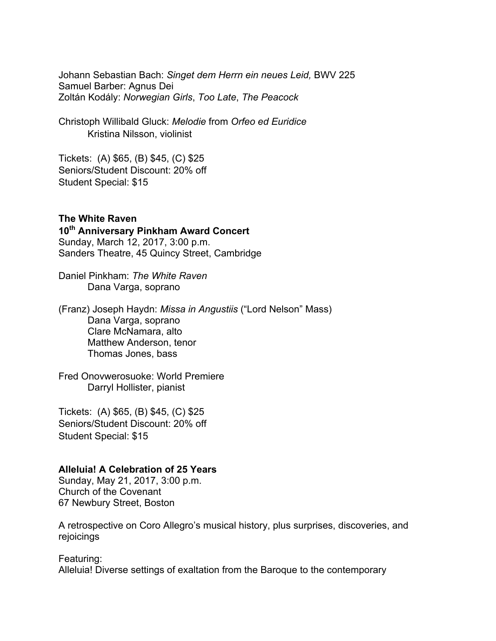Johann Sebastian Bach: *Singet dem Herrn ein neues Leid,* BWV 225 Samuel Barber: Agnus Dei Zoltán Kodály: *Norwegian Girls*, *Too Late*, *The Peacock*

Christoph Willibald Gluck: *Melodie* from *Orfeo ed Euridice* Kristina Nilsson, violinist

Tickets: (A) \$65, (B) \$45, (C) \$25 Seniors/Student Discount: 20% off Student Special: \$15

**The White Raven 10th Anniversary Pinkham Award Concert** Sunday, March 12, 2017, 3:00 p.m. Sanders Theatre, 45 Quincy Street, Cambridge

Daniel Pinkham: *The White Raven* Dana Varga, soprano

(Franz) Joseph Haydn: *Missa in Angustiis* ("Lord Nelson" Mass) Dana Varga, soprano Clare McNamara, alto Matthew Anderson, tenor Thomas Jones, bass

Fred Onovwerosuoke: World Premiere Darryl Hollister, pianist

Tickets: (A) \$65, (B) \$45, (C) \$25 Seniors/Student Discount: 20% off Student Special: \$15

#### **Alleluia! A Celebration of 25 Years**

Sunday, May 21, 2017, 3:00 p.m. Church of the Covenant 67 Newbury Street, Boston

A retrospective on Coro Allegro's musical history, plus surprises, discoveries, and rejoicings

Featuring: Alleluia! Diverse settings of exaltation from the Baroque to the contemporary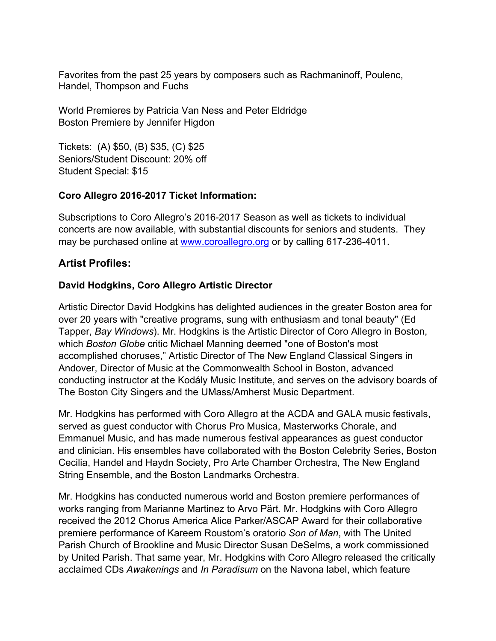Favorites from the past 25 years by composers such as Rachmaninoff, Poulenc, Handel, Thompson and Fuchs

World Premieres by Patricia Van Ness and Peter Eldridge Boston Premiere by Jennifer Higdon

Tickets: (A) \$50, (B) \$35, (C) \$25 Seniors/Student Discount: 20% off Student Special: \$15

### **Coro Allegro 2016-2017 Ticket Information:**

Subscriptions to Coro Allegro's 2016-2017 Season as well as tickets to individual concerts are now available, with substantial discounts for seniors and students. They may be purchased online at www.coroallegro.org or by calling 617-236-4011.

# **Artist Profiles:**

# **David Hodgkins, Coro Allegro Artistic Director**

Artistic Director David Hodgkins has delighted audiences in the greater Boston area for over 20 years with "creative programs, sung with enthusiasm and tonal beauty" (Ed Tapper, *Bay Windows*). Mr. Hodgkins is the Artistic Director of Coro Allegro in Boston, which *Boston Globe* critic Michael Manning deemed "one of Boston's most accomplished choruses," Artistic Director of The New England Classical Singers in Andover, Director of Music at the Commonwealth School in Boston, advanced conducting instructor at the Kodály Music Institute, and serves on the advisory boards of The Boston City Singers and the UMass/Amherst Music Department.

Mr. Hodgkins has performed with Coro Allegro at the ACDA and GALA music festivals, served as guest conductor with Chorus Pro Musica, Masterworks Chorale, and Emmanuel Music, and has made numerous festival appearances as guest conductor and clinician. His ensembles have collaborated with the Boston Celebrity Series, Boston Cecilia, Handel and Haydn Society, Pro Arte Chamber Orchestra, The New England String Ensemble, and the Boston Landmarks Orchestra.

Mr. Hodgkins has conducted numerous world and Boston premiere performances of works ranging from Marianne Martinez to Arvo Pärt. Mr. Hodgkins with Coro Allegro received the 2012 Chorus America Alice Parker/ASCAP Award for their collaborative premiere performance of Kareem Roustom's oratorio *Son of Man*, with The United Parish Church of Brookline and Music Director Susan DeSelms, a work commissioned by United Parish. That same year, Mr. Hodgkins with Coro Allegro released the critically acclaimed CDs *Awakenings* and *In Paradisum* on the Navona label, which feature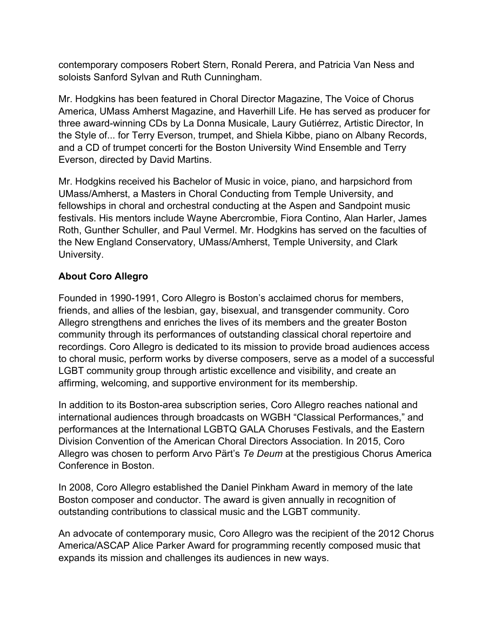contemporary composers Robert Stern, Ronald Perera, and Patricia Van Ness and soloists Sanford Sylvan and Ruth Cunningham.

Mr. Hodgkins has been featured in Choral Director Magazine, The Voice of Chorus America, UMass Amherst Magazine, and Haverhill Life. He has served as producer for three award-winning CDs by La Donna Musicale, Laury Gutiérrez, Artistic Director, In the Style of... for Terry Everson, trumpet, and Shiela Kibbe, piano on Albany Records, and a CD of trumpet concerti for the Boston University Wind Ensemble and Terry Everson, directed by David Martins.

Mr. Hodgkins received his Bachelor of Music in voice, piano, and harpsichord from UMass/Amherst, a Masters in Choral Conducting from Temple University, and fellowships in choral and orchestral conducting at the Aspen and Sandpoint music festivals. His mentors include Wayne Abercrombie, Fiora Contino, Alan Harler, James Roth, Gunther Schuller, and Paul Vermel. Mr. Hodgkins has served on the faculties of the New England Conservatory, UMass/Amherst, Temple University, and Clark University.

### **About Coro Allegro**

Founded in 1990-1991, Coro Allegro is Boston's acclaimed chorus for members, friends, and allies of the lesbian, gay, bisexual, and transgender community. Coro Allegro strengthens and enriches the lives of its members and the greater Boston community through its performances of outstanding classical choral repertoire and recordings. Coro Allegro is dedicated to its mission to provide broad audiences access to choral music, perform works by diverse composers, serve as a model of a successful LGBT community group through artistic excellence and visibility, and create an affirming, welcoming, and supportive environment for its membership.

In addition to its Boston-area subscription series, Coro Allegro reaches national and international audiences through broadcasts on WGBH "Classical Performances," and performances at the International LGBTQ GALA Choruses Festivals, and the Eastern Division Convention of the American Choral Directors Association. In 2015, Coro Allegro was chosen to perform Arvo Pärt's *Te Deum* at the prestigious Chorus America Conference in Boston.

In 2008, Coro Allegro established the Daniel Pinkham Award in memory of the late Boston composer and conductor. The award is given annually in recognition of outstanding contributions to classical music and the LGBT community.

An advocate of contemporary music, Coro Allegro was the recipient of the 2012 Chorus America/ASCAP Alice Parker Award for programming recently composed music that expands its mission and challenges its audiences in new ways.